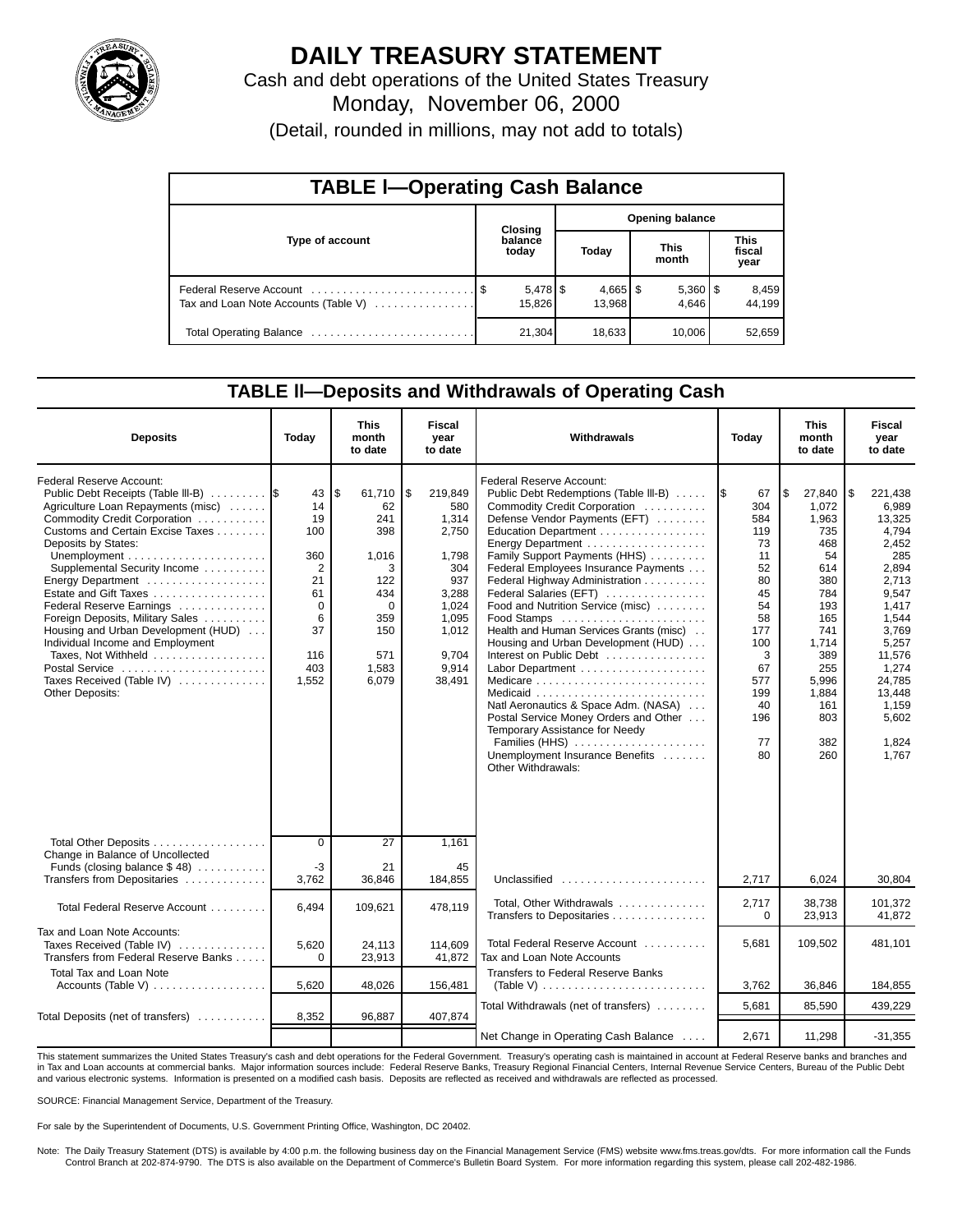

# **DAILY TREASURY STATEMENT**

Cash and debt operations of the United States Treasury Monday, November 06, 2000 (Detail, rounded in millions, may not add to totals)

| <b>TABLE I-Operating Cash Balance</b> |  |                  |                        |                      |  |                       |  |                 |  |  |
|---------------------------------------|--|------------------|------------------------|----------------------|--|-----------------------|--|-----------------|--|--|
|                                       |  | Closing          | <b>Opening balance</b> |                      |  |                       |  |                 |  |  |
| Type of account                       |  | balance<br>today |                        | Today                |  | <b>This</b><br>month  |  |                 |  |  |
| Tax and Loan Note Accounts (Table V)  |  | 15.826           |                        | $4,665$ \$<br>13.968 |  | $5,360$   \$<br>4.646 |  | 8,459<br>44,199 |  |  |
|                                       |  | 21,304           |                        | 18,633               |  | 10,006                |  | 52,659          |  |  |

### **TABLE ll—Deposits and Withdrawals of Operating Cash**

| <b>Deposits</b>                                                                                                                                                                                                                                                                                                                                                                                                                                                                                                          | Today                                                                                                       | <b>This</b><br>month<br>to date                                                                                 | Fiscal<br>year<br>to date                                                                                                     | Withdrawals                                                                                                                                                                                                                                                                                                                                                                                                                                                                                                                                                                                                                                                                                     | Today                                                                                                                                    | <b>This</b><br>month<br>to date                                                                                                                                    | Fiscal<br>year<br>to date                                                                                                                                                                             |
|--------------------------------------------------------------------------------------------------------------------------------------------------------------------------------------------------------------------------------------------------------------------------------------------------------------------------------------------------------------------------------------------------------------------------------------------------------------------------------------------------------------------------|-------------------------------------------------------------------------------------------------------------|-----------------------------------------------------------------------------------------------------------------|-------------------------------------------------------------------------------------------------------------------------------|-------------------------------------------------------------------------------------------------------------------------------------------------------------------------------------------------------------------------------------------------------------------------------------------------------------------------------------------------------------------------------------------------------------------------------------------------------------------------------------------------------------------------------------------------------------------------------------------------------------------------------------------------------------------------------------------------|------------------------------------------------------------------------------------------------------------------------------------------|--------------------------------------------------------------------------------------------------------------------------------------------------------------------|-------------------------------------------------------------------------------------------------------------------------------------------------------------------------------------------------------|
| <b>Federal Reserve Account:</b><br>Public Debt Receipts (Table III-B)<br>Agriculture Loan Repayments (misc)<br>Commodity Credit Corporation<br>Customs and Certain Excise Taxes<br>Deposits by States:<br>Supplemental Security Income<br>Energy Department<br>Estate and Gift Taxes<br>Federal Reserve Earnings<br>Foreign Deposits, Military Sales<br>Housing and Urban Development (HUD)<br>Individual Income and Employment<br>Taxes, Not Withheld<br>Postal Service<br>Taxes Received (Table IV)<br>Other Deposits: | 43<br>14<br>19<br>100<br>360<br>$\overline{2}$<br>21<br>61<br>$\mathbf 0$<br>6<br>37<br>116<br>403<br>1,552 | \$<br>61,710<br>62<br>241<br>398<br>1,016<br>3<br>122<br>434<br>$\Omega$<br>359<br>150<br>571<br>1,583<br>6,079 | \$<br>219,849<br>580<br>1,314<br>2,750<br>1,798<br>304<br>937<br>3,288<br>1,024<br>1,095<br>1,012<br>9,704<br>9,914<br>38,491 | Federal Reserve Account:<br>Public Debt Redemptions (Table III-B)<br>Commodity Credit Corporation<br>Defense Vendor Payments (EFT)<br>Education Department<br>Energy Department<br>Family Support Payments (HHS)<br>Federal Employees Insurance Payments<br>Federal Highway Administration<br>Federal Salaries (EFT)<br>Food and Nutrition Service (misc)<br>Food Stamps<br>Health and Human Services Grants (misc)<br>Housing and Urban Development (HUD)<br>Interest on Public Debt<br>Medicare<br>Natl Aeronautics & Space Adm. (NASA)<br>Postal Service Money Orders and Other<br>Temporary Assistance for Needy<br>Families (HHS)<br>Unemployment Insurance Benefits<br>Other Withdrawals: | 67<br>I\$<br>304<br>584<br>119<br>73<br>11<br>52<br>80<br>45<br>54<br>58<br>177<br>100<br>3<br>67<br>577<br>199<br>40<br>196<br>77<br>80 | 1\$<br>27,840<br>1,072<br>1,963<br>735<br>468<br>54<br>614<br>380<br>784<br>193<br>165<br>741<br>1,714<br>389<br>255<br>5,996<br>1,884<br>161<br>803<br>382<br>260 | 221,438<br>l \$<br>6,989<br>13,325<br>4,794<br>2,452<br>285<br>2,894<br>2,713<br>9,547<br>1,417<br>1,544<br>3,769<br>5,257<br>11,576<br>1,274<br>24,785<br>13,448<br>1,159<br>5,602<br>1,824<br>1,767 |
| Total Other Deposits<br>Change in Balance of Uncollected<br>Funds (closing balance $$48$ )                                                                                                                                                                                                                                                                                                                                                                                                                               | $\overline{0}$<br>$-3$                                                                                      | $\overline{27}$<br>21                                                                                           | 1,161<br>45                                                                                                                   |                                                                                                                                                                                                                                                                                                                                                                                                                                                                                                                                                                                                                                                                                                 |                                                                                                                                          |                                                                                                                                                                    |                                                                                                                                                                                                       |
| Transfers from Depositaries                                                                                                                                                                                                                                                                                                                                                                                                                                                                                              | 3,762                                                                                                       | 36,846                                                                                                          | 184,855                                                                                                                       | Unclassified                                                                                                                                                                                                                                                                                                                                                                                                                                                                                                                                                                                                                                                                                    | 2,717                                                                                                                                    | 6,024                                                                                                                                                              | 30,804                                                                                                                                                                                                |
| Total Federal Reserve Account                                                                                                                                                                                                                                                                                                                                                                                                                                                                                            | 6.494                                                                                                       | 109.621                                                                                                         | 478,119                                                                                                                       | Total, Other Withdrawals<br>Transfers to Depositaries                                                                                                                                                                                                                                                                                                                                                                                                                                                                                                                                                                                                                                           | 2,717<br>0                                                                                                                               | 38.738<br>23,913                                                                                                                                                   | 101,372<br>41.872                                                                                                                                                                                     |
| Tax and Loan Note Accounts:<br>Taxes Received (Table IV)<br>Transfers from Federal Reserve Banks                                                                                                                                                                                                                                                                                                                                                                                                                         | 5,620<br>$\Omega$                                                                                           | 24,113<br>23,913                                                                                                | 114.609<br>41.872                                                                                                             | Total Federal Reserve Account<br>Tax and Loan Note Accounts                                                                                                                                                                                                                                                                                                                                                                                                                                                                                                                                                                                                                                     | 5.681                                                                                                                                    | 109.502                                                                                                                                                            | 481.101                                                                                                                                                                                               |
| <b>Total Tax and Loan Note</b><br>Accounts (Table V) $\dots \dots \dots \dots \dots$                                                                                                                                                                                                                                                                                                                                                                                                                                     | 5,620                                                                                                       | 48,026                                                                                                          | 156,481                                                                                                                       | Transfers to Federal Reserve Banks<br>(Table V) $\ldots \ldots \ldots \ldots \ldots \ldots \ldots \ldots$                                                                                                                                                                                                                                                                                                                                                                                                                                                                                                                                                                                       | 3,762                                                                                                                                    | 36,846                                                                                                                                                             | 184,855                                                                                                                                                                                               |
|                                                                                                                                                                                                                                                                                                                                                                                                                                                                                                                          |                                                                                                             |                                                                                                                 |                                                                                                                               | Total Withdrawals (net of transfers)                                                                                                                                                                                                                                                                                                                                                                                                                                                                                                                                                                                                                                                            | 5.681                                                                                                                                    | 85.590                                                                                                                                                             | 439.229                                                                                                                                                                                               |
| Total Deposits (net of transfers)                                                                                                                                                                                                                                                                                                                                                                                                                                                                                        | 8,352                                                                                                       | 96,887                                                                                                          | 407,874                                                                                                                       | Net Change in Operating Cash Balance                                                                                                                                                                                                                                                                                                                                                                                                                                                                                                                                                                                                                                                            | 2,671                                                                                                                                    | 11,298                                                                                                                                                             | $-31,355$                                                                                                                                                                                             |

This statement summarizes the United States Treasury's cash and debt operations for the Federal Government. Treasury's operating cash is maintained in account at Federal Reserve banks and branches and in Tax and Loan accounts at commercial banks. Major information sources include: Federal Reserve Banks, Treasury Regional Financial Centers, Internal Revenue Service Centers, Bureau of the Public Debt<br>and various electroni

SOURCE: Financial Management Service, Department of the Treasury.

For sale by the Superintendent of Documents, U.S. Government Printing Office, Washington, DC 20402.

Note: The Daily Treasury Statement (DTS) is available by 4:00 p.m. the following business day on the Financial Management Service (FMS) website www.fms.treas.gov/dts. For more information call the Funds<br>Control Branch at 2